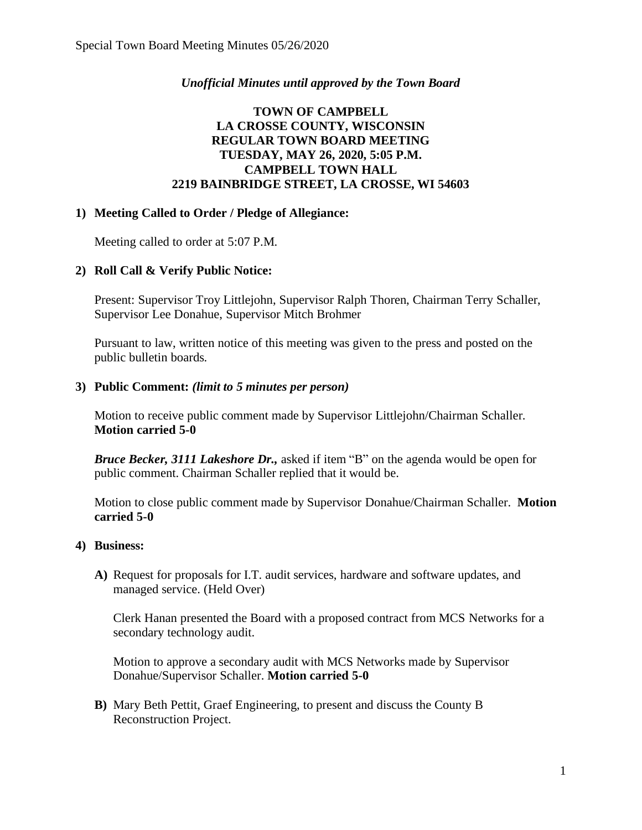### *Unofficial Minutes until approved by the Town Board*

## **TOWN OF CAMPBELL LA CROSSE COUNTY, WISCONSIN REGULAR TOWN BOARD MEETING TUESDAY, MAY 26, 2020, 5:05 P.M. CAMPBELL TOWN HALL 2219 BAINBRIDGE STREET, LA CROSSE, WI 54603**

#### **1) Meeting Called to Order / Pledge of Allegiance:**

Meeting called to order at 5:07 P.M.

# **2) Roll Call & Verify Public Notice:**

Present: Supervisor Troy Littlejohn, Supervisor Ralph Thoren, Chairman Terry Schaller, Supervisor Lee Donahue, Supervisor Mitch Brohmer

Pursuant to law, written notice of this meeting was given to the press and posted on the public bulletin boards.

#### **3) Public Comment:** *(limit to 5 minutes per person)*

Motion to receive public comment made by Supervisor Littlejohn/Chairman Schaller. **Motion carried 5-0**

*Bruce Becker, 3111 Lakeshore Dr.,* asked if item "B" on the agenda would be open for public comment. Chairman Schaller replied that it would be.

Motion to close public comment made by Supervisor Donahue/Chairman Schaller. **Motion carried 5-0**

#### **4) Business:**

**A)** Request for proposals for I.T. audit services, hardware and software updates, and managed service. (Held Over)

Clerk Hanan presented the Board with a proposed contract from MCS Networks for a secondary technology audit.

Motion to approve a secondary audit with MCS Networks made by Supervisor Donahue/Supervisor Schaller. **Motion carried 5-0**

**B)** Mary Beth Pettit, Graef Engineering, to present and discuss the County B Reconstruction Project.